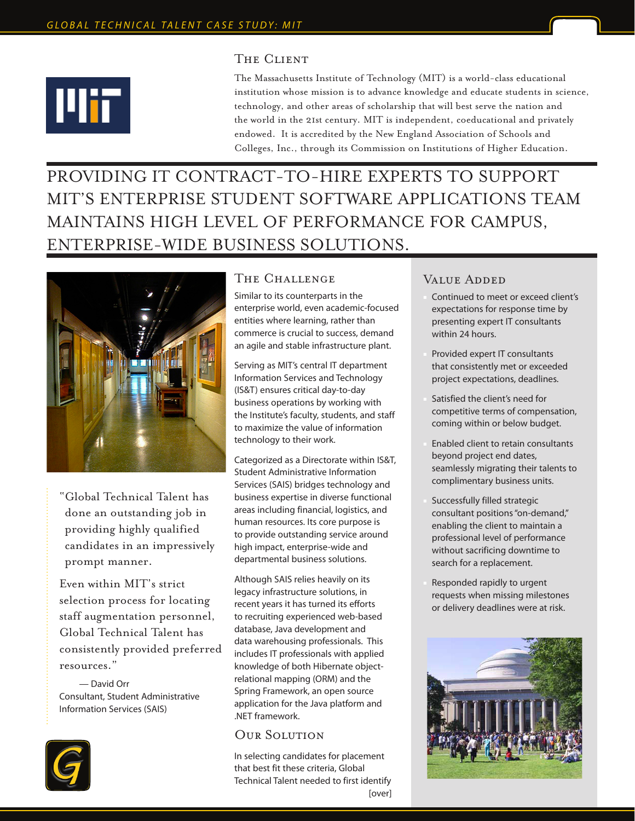

# THE CLIENT

The Massachusetts Institute of Technology (MIT) is a world-class educational institution whose mission is to advance knowledge and educate students in science, technology, and other areas of scholarship that will best serve the nation and the world in the 21st century. MIT is independent, coeducational and privately endowed. It is accredited by the New England Association of Schools and Colleges, Inc., through its Commission on Institutions of Higher Education.

PROVIDING IT CONTRACT-TO-HIRE EXPERTS TO SUPPORT MIT'S ENTERPRISE STUDENT SOFTWARE APPLICATIONS TEAM MAINTAINS HIGH LEVEL OF PERFORMANCE FOR CAMPUS, ENTERPRISE-WIDE BUSINESS SOLUTIONS.



"Global Technical Talent has done an outstanding job in providing highly qualified candidates in an impressively prompt manner.

Even within MIT's strict selection process for locating staff augmentation personnel, Global Technical Talent has consistently provided preferred resources."

 — David Orr Consultant, Student Administrative Information Services (SAIS)



#### The Challenge

Similar to its counterparts in the enterprise world, even academic-focused entities where learning, rather than commerce is crucial to success, demand an agile and stable infrastructure plant.

Serving as MIT's central IT department Information Services and Technology (IS&T) ensures critical day-to-day business operations by working with the Institute's faculty, students, and staff to maximize the value of information technology to their work.

Categorized as a Directorate within IS&T, Student Administrative Information Services (SAIS) bridges technology and business expertise in diverse functional areas including financial, logistics, and human resources. Its core purpose is to provide outstanding service around high impact, enterprise-wide and departmental business solutions.

Although SAIS relies heavily on its legacy infrastructure solutions, in recent years it has turned its efforts to recruiting experienced web-based database, Java development and data warehousing professionals. This includes IT professionals with applied knowledge of both Hibernate objectrelational mapping (ORM) and the Spring Framework, an open source application for the Java platform and .NET framework.

# OUR SOLUTION

In selecting candidates for placement that best fit these criteria, Global Technical Talent needed to first identify [over]

## VALUE ADDED

- Continued to meet or exceed client's expectations for response time by presenting expert IT consultants within 24 hours.
- Provided expert IT consultants that consistently met or exceeded project expectations, deadlines.
- Satisfied the client's need for competitive terms of compensation, coming within or below budget.
- Enabled client to retain consultants beyond project end dates, seamlessly migrating their talents to complimentary business units.
- Successfully filled strategic consultant positions "on-demand," enabling the client to maintain a professional level of performance without sacrificing downtime to search for a replacement.
- Responded rapidly to urgent requests when missing milestones or delivery deadlines were at risk.